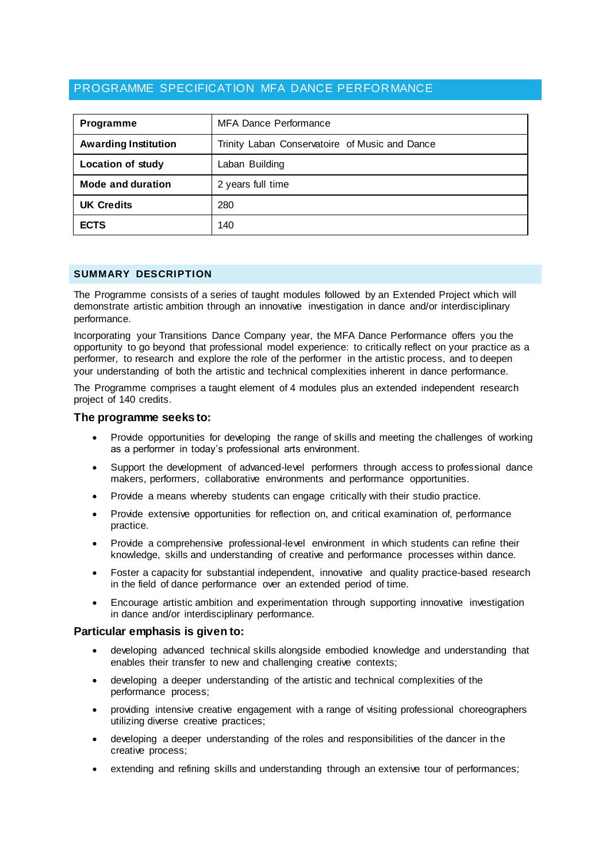# PROGRAMME SPECIFICATION MFA DANCE PERFORMANCE

| <b>Programme</b>            | <b>MFA Dance Performance</b>                   |  |  |
|-----------------------------|------------------------------------------------|--|--|
| <b>Awarding Institution</b> | Trinity Laban Conservatoire of Music and Dance |  |  |
| <b>Location of study</b>    | Laban Building                                 |  |  |
| Mode and duration           | 2 years full time                              |  |  |
| <b>UK Credits</b>           | 280                                            |  |  |
| <b>ECTS</b>                 | 140                                            |  |  |

## **SUMMARY DESCRIPTION**

The Programme consists of a series of taught modules followed by an Extended Project which will demonstrate artistic ambition through an innovative investigation in dance and/or interdisciplinary performance.

Incorporating your Transitions Dance Company year, the MFA Dance Performance offers you the opportunity to go beyond that professional model experience: to critically reflect on your practice as a performer, to research and explore the role of the performer in the artistic process, and to deepen your understanding of both the artistic and technical complexities inherent in dance performance.

The Programme comprises a taught element of 4 modules plus an extended independent research project of 140 credits.

## **The programme seeks to:**

- Provide opportunities for developing the range of skills and meeting the challenges of working as a performer in today's professional arts environment.
- Support the development of advanced-level performers through access to professional dance makers, performers, collaborative environments and performance opportunities.
- Provide a means whereby students can engage critically with their studio practice.
- Provide extensive opportunities for reflection on, and critical examination of, performance practice.
- Provide a comprehensive professional-level environment in which students can refine their knowledge, skills and understanding of creative and performance processes within dance.
- Foster a capacity for substantial independent, innovative and quality practice-based research in the field of dance performance over an extended period of time.
- Encourage artistic ambition and experimentation through supporting innovative investigation in dance and/or interdisciplinary performance.

## **Particular emphasis is given to:**

- developing advanced technical skills alongside embodied knowledge and understanding that enables their transfer to new and challenging creative contexts;
- developing a deeper understanding of the artistic and technical complexities of the performance process;
- providing intensive creative engagement with a range of visiting professional choreographers utilizing diverse creative practices;
- developing a deeper understanding of the roles and responsibilities of the dancer in the creative process;
- extending and refining skills and understanding through an extensive tour of performances;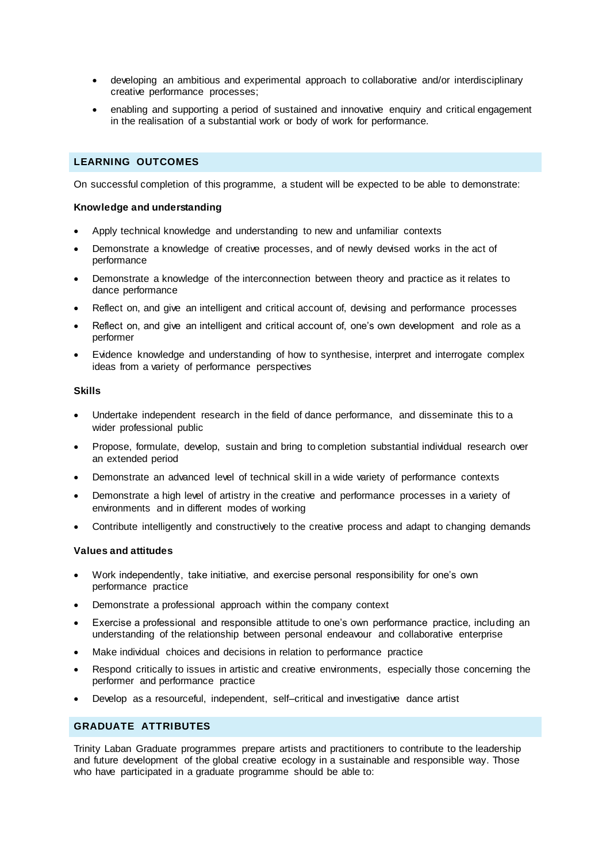- developing an ambitious and experimental approach to collaborative and/or interdisciplinary creative performance processes;
- enabling and supporting a period of sustained and innovative enquiry and critical engagement in the realisation of a substantial work or body of work for performance.

### **LEARNING OUTCOMES**

On successful completion of this programme, a student will be expected to be able to demonstrate:

### **Knowledge and understanding**

- Apply technical knowledge and understanding to new and unfamiliar contexts
- Demonstrate a knowledge of creative processes, and of newly devised works in the act of performance
- Demonstrate a knowledge of the interconnection between theory and practice as it relates to dance performance
- Reflect on, and give an intelligent and critical account of, devising and performance processes
- Reflect on, and give an intelligent and critical account of, one's own development and role as a performer
- Evidence knowledge and understanding of how to synthesise, interpret and interrogate complex ideas from a variety of performance perspectives

#### **Skills**

- Undertake independent research in the field of dance performance, and disseminate this to a wider professional public
- Propose, formulate, develop, sustain and bring to completion substantial individual research over an extended period
- Demonstrate an advanced level of technical skill in a wide variety of performance contexts
- Demonstrate a high level of artistry in the creative and performance processes in a variety of environments and in different modes of working
- Contribute intelligently and constructively to the creative process and adapt to changing demands

## **Values and attitudes**

- Work independently, take initiative, and exercise personal responsibility for one's own performance practice
- Demonstrate a professional approach within the company context
- Exercise a professional and responsible attitude to one's own performance practice, including an understanding of the relationship between personal endeavour and collaborative enterprise
- Make individual choices and decisions in relation to performance practice
- Respond critically to issues in artistic and creative environments, especially those concerning the performer and performance practice
- Develop as a resourceful, independent, self–critical and investigative dance artist

## **GRADUATE ATTRIBUTES**

Trinity Laban Graduate programmes prepare artists and practitioners to contribute to the leadership and future development of the global creative ecology in a sustainable and responsible way. Those who have participated in a graduate programme should be able to: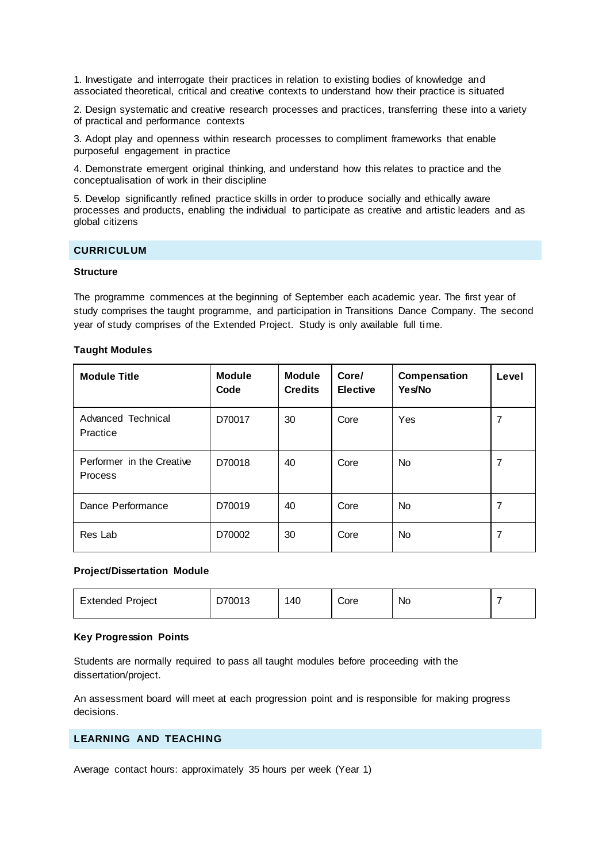1. Investigate and interrogate their practices in relation to existing bodies of knowledge and associated theoretical, critical and creative contexts to understand how their practice is situated

2. Design systematic and creative research processes and practices, transferring these into a variety of practical and performance contexts

3. Adopt play and openness within research processes to compliment frameworks that enable purposeful engagement in practice

4. Demonstrate emergent original thinking, and understand how this relates to practice and the conceptualisation of work in their discipline

5. Develop significantly refined practice skills in order to produce socially and ethically aware processes and products, enabling the individual to participate as creative and artistic leaders and as global citizens

### **CURRICULUM**

#### **Structure**

The programme commences at the beginning of September each academic year. The first year of study comprises the taught programme, and participation in Transitions Dance Company. The second year of study comprises of the Extended Project. Study is only available full time.

#### **Taught Modules**

| <b>Module Title</b>                         | <b>Module</b><br>Code | <b>Module</b><br><b>Credits</b> | Core/<br><b>Elective</b> | Compensation<br>Yes/No | Level |
|---------------------------------------------|-----------------------|---------------------------------|--------------------------|------------------------|-------|
| Advanced Technical<br>Practice              | D70017                | 30                              | Core                     | Yes                    | 7     |
| Performer in the Creative<br><b>Process</b> | D70018                | 40                              | Core                     | <b>No</b>              | 7     |
| Dance Performance                           | D70019                | 40                              | Core                     | <b>No</b>              | 7     |
| Res Lab                                     | D70002                | 30                              | Core                     | <b>No</b>              | 7     |

## **Project/Dissertation Module**

| Project<br>Extended | 70013<br>◡ | 40 | Core | No<br>$\sim$ |  |
|---------------------|------------|----|------|--------------|--|
|---------------------|------------|----|------|--------------|--|

### **Key Progression Points**

Students are normally required to pass all taught modules before proceeding with the dissertation/project.

An assessment board will meet at each progression point and is responsible for making progress decisions.

## **LEARNING AND TEACHING**

Average contact hours: approximately 35 hours per week (Year 1)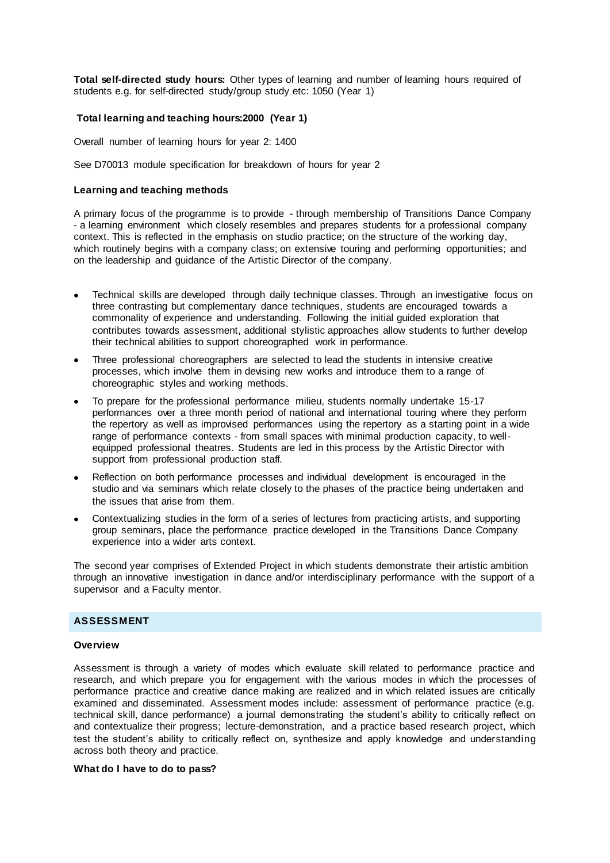**Total self-directed study hours:** Other types of learning and number of learning hours required of students e.g. for self-directed study/group study etc: 1050 (Year 1)

### **Total learning and teaching hours:2000 (Year 1)**

Overall number of learning hours for year 2: 1400

See D70013 module specification for breakdown of hours for year 2

#### **Learning and teaching methods**

A primary focus of the programme is to provide - through membership of Transitions Dance Company - a learning environment which closely resembles and prepares students for a professional company context. This is reflected in the emphasis on studio practice; on the structure of the working day, which routinely begins with a company class; on extensive touring and performing opportunities; and on the leadership and guidance of the Artistic Director of the company.

- Technical skills are developed through daily technique classes. Through an investigative focus on three contrasting but complementary dance techniques, students are encouraged towards a commonality of experience and understanding. Following the initial guided exploration that contributes towards assessment, additional stylistic approaches allow students to further develop their technical abilities to support choreographed work in performance.
- Three professional choreographers are selected to lead the students in intensive creative processes, which involve them in devising new works and introduce them to a range of choreographic styles and working methods.
- To prepare for the professional performance milieu, students normally undertake 15-17 performances over a three month period of national and international touring where they perform the repertory as well as improvised performances using the repertory as a starting point in a wide range of performance contexts - from small spaces with minimal production capacity, to wellequipped professional theatres. Students are led in this process by the Artistic Director with support from professional production staff.
- Reflection on both performance processes and individual development is encouraged in the studio and via seminars which relate closely to the phases of the practice being undertaken and the issues that arise from them.
- Contextualizing studies in the form of a series of lectures from practicing artists, and supporting group seminars, place the performance practice developed in the Transitions Dance Company experience into a wider arts context.

The second year comprises of Extended Project in which students demonstrate their artistic ambition through an innovative investigation in dance and/or interdisciplinary performance with the support of a supervisor and a Faculty mentor.

## **ASSESSMENT**

### **Overview**

Assessment is through a variety of modes which evaluate skill related to performance practice and research, and which prepare you for engagement with the various modes in which the processes of performance practice and creative dance making are realized and in which related issues are critically examined and disseminated. Assessment modes include: assessment of performance practice (e.g. technical skill, dance performance) a journal demonstrating the student's ability to critically reflect on and contextualize their progress; lecture-demonstration, and a practice based research project, which test the student's ability to critically reflect on, synthesize and apply knowledge and understanding across both theory and practice.

#### **What do I have to do to pass?**